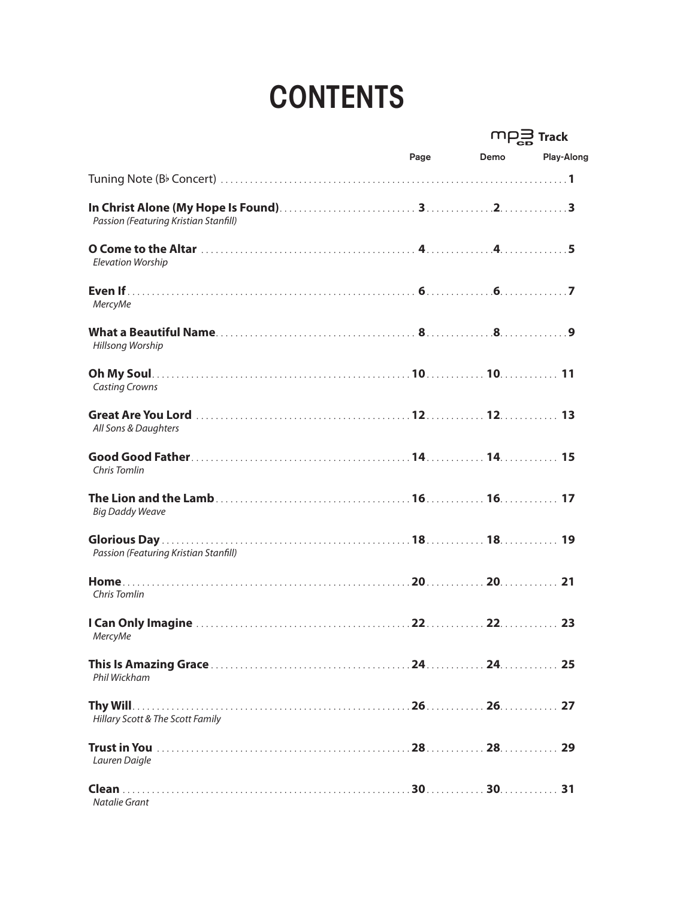## **CONTENTS**

|                                       |      |      | $m_{\overline{2a}}$ Track |  |
|---------------------------------------|------|------|---------------------------|--|
|                                       | Page | Demo | Play-Along                |  |
|                                       |      |      |                           |  |
| Passion (Featuring Kristian Stanfill) |      |      |                           |  |
| <b>Elevation Worship</b>              |      |      |                           |  |
| <b>MercyMe</b>                        |      |      |                           |  |
| <b>Hillsong Worship</b>               |      |      |                           |  |
| <b>Casting Crowns</b>                 |      |      |                           |  |
| All Sons & Daughters                  |      |      |                           |  |
| <b>Chris Tomlin</b>                   |      |      |                           |  |
| <b>Big Daddy Weave</b>                |      |      |                           |  |
| Passion (Featuring Kristian Stanfill) |      |      |                           |  |
| Chris Tomlin                          |      |      |                           |  |
| <b>MercyMe</b>                        |      |      |                           |  |
| Phil Wickham                          |      |      |                           |  |
| Hillary Scott & The Scott Family      |      |      |                           |  |
| Lauren Daigle                         |      |      |                           |  |
| Natalie Grant                         |      |      |                           |  |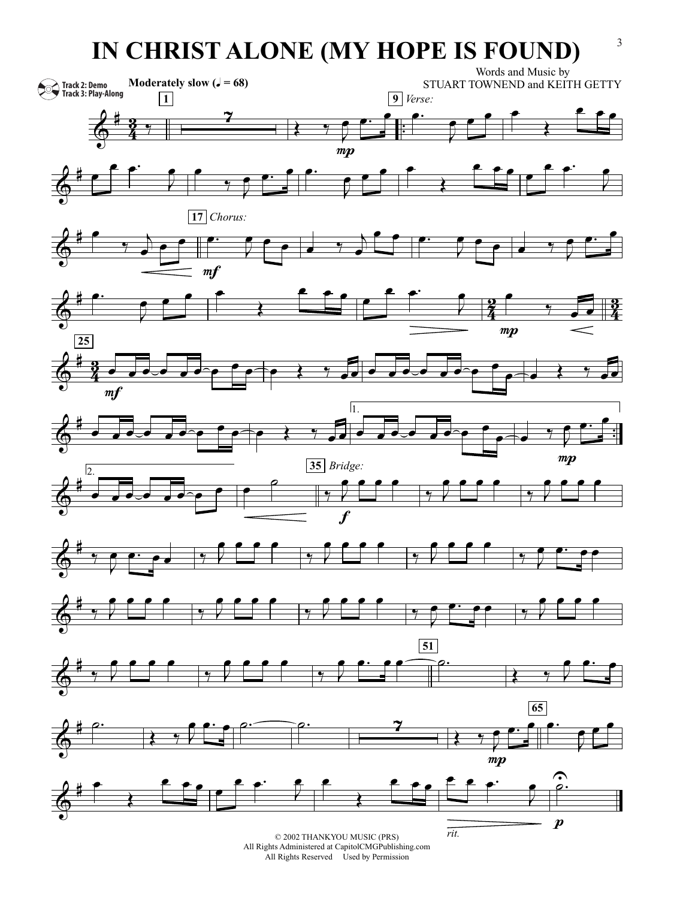## **IN CHRIST ALONE (MY HOPE IS FOUND)**<sup>3</sup>



All Rights Reserved Used by Permission